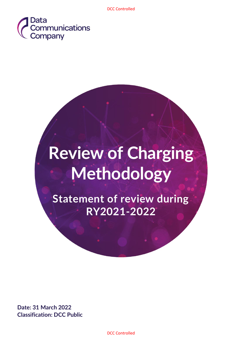

# **Review of Charging Methodology**

**Statement of review during RY2021-2022**

**Date: 31 March 2022 Classification: DCC Public**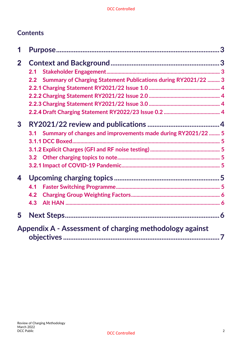## **Contents**

| 1            |                                                                       |  |
|--------------|-----------------------------------------------------------------------|--|
| $\mathbf{2}$ |                                                                       |  |
|              | 2.1                                                                   |  |
|              | Summary of Charging Statement Publications during RY2021/22  3<br>2.2 |  |
|              |                                                                       |  |
|              |                                                                       |  |
|              |                                                                       |  |
|              |                                                                       |  |
| $\mathbf{3}$ |                                                                       |  |
|              | Summary of changes and improvements made during RY2021/22  5<br>3.1   |  |
|              |                                                                       |  |
|              |                                                                       |  |
|              |                                                                       |  |
|              |                                                                       |  |
| 4            |                                                                       |  |
|              | 4.1                                                                   |  |
|              | 4.2                                                                   |  |
|              | 4.3                                                                   |  |
| 5            |                                                                       |  |
|              | Appendix A - Assessment of charging methodology against               |  |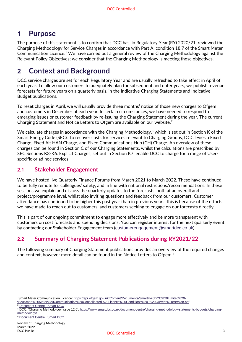# <span id="page-2-0"></span>**1 Purpose**

The purpose of this statement is to confirm that DCC has, in Regulatory Year (RY) 2020/21, reviewed the Charging Methodology for Service Charges in accordance with Part A: condition 18.7 of the Smart Meter Communication Licence.<sup>1</sup> We have carried out a general review of the Charging Methodology against the Relevant Policy Objectives; we consider that the Charging Methodology is meeting those objectives.

# <span id="page-2-1"></span>**2 Context and Background**

DCC service charges are set for each Regulatory Year and are usually refreshed to take effect in April of each year. To allow our customers to adequately plan for subsequent and outer years, we publish revenue forecasts for future years on a quarterly basis, in the Indicative Charging Statements and Indicative Budget publications.

To reset charges in April, we will usually provide three months' notice of those new charges to Ofgem and customers in December of each year. In certain circumstances, we have needed to respond to emerging issues or customer feedback by re-issuing the Charging Statement during the year. The current Charging Statement and Notice Letters to Ofgem are available on our website. $2$ 

We calculate charges in accordance with the Charging Methodology,<sup>3</sup> which is set out in Section K of the Smart Energy Code (SEC). To recover costs for services relevant to Charging Groups, DCC levies a Fixed Charge, Fixed Alt HAN Charge, and Fixed Communications Hub (CH) Charge. An overview of these charges can be found in Section C of our Charging Statements, whilst the calculations are prescribed by SEC Sections K3-K6. Explicit Charges, set out in Section K7, enable DCC to charge for a range of Userspecific or ad hoc services.

## <span id="page-2-2"></span>**2.1 Stakeholder Engagement**

We have hosted live Quarterly Finance Forums from March 2021 to March 2022. These have continued to be fully remote for colleagues' safety, and in line with national restrictions/recommendations. In these sessions we explain and discuss the quarterly updates to the forecasts, both at an overall and project/programme level, whilst also inviting questions and feedback from our customers. Customer attendance has continued to be higher this past year than in previous years; this is because of the efforts we have made to reach out to customers, and customers seeking to engage on our forecasts directly.

This is part of our ongoing commitment to engage more effectively and be more transparent with customers on cost forecasts and spending decisions. You can register interest for the next quarterly event by contacting our Stakeholder Engagement team ([customerengagement@smartdcc.co.uk](mailto:customerengagement@smartdcc.co.uk)).

## <span id="page-2-3"></span>**2.2 Summary of Charging Statement Publications during RY2021/22**

The following summary of Charging Statement publications provides an overview of the required changes and context, however more detail can be found in the Notice Letters to Ofgem.<sup>4</sup>

[Document Centre | Smart DCC](https://www.smartdcc.co.uk/document-centre/?filter=2074)

<sup>1</sup>Smart Meter Communication Licence[: https://epr.ofgem.gov.uk/Content/Documents/Smart%20DCC%20Limited%20-](https://epr.ofgem.gov.uk/Content/Documents/Smart%20DCC%20Limited%20-%20Smart%20Meter%20Communication%20Consolidated%20Licence%20Conditions%20-%20Current%20Version.pdf)

[<sup>%20</sup>Smart%20Meter%20Communication%20Consolidated%20Licence%20Conditions%20-%20Current%20Version.pdf](https://epr.ofgem.gov.uk/Content/Documents/Smart%20DCC%20Limited%20-%20Smart%20Meter%20Communication%20Consolidated%20Licence%20Conditions%20-%20Current%20Version.pdf)

**[Document Centre | Smart DCC](https://www.smartdcc.co.uk/document-centre/?filter=2074)** 

<sup>&</sup>lt;sup>3</sup> DCC, 'Charging Methodology issue 12.0': https://www.smartdcc.co.uk/document-centre/charging-methodology-statements-budgets/chargingmethodology/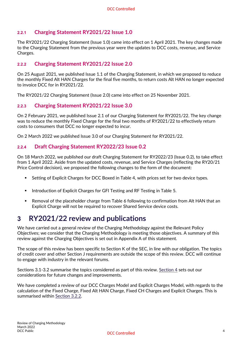#### <span id="page-3-0"></span>**2.2.1 Charging Statement RY2021/22 Issue 1.0**

The RY2021/22 Charging Statement (Issue 1.0) came into effect on 1 April 2021. The key changes made to the Charging Statement from the previous year were the updates to DCC costs, revenue, and Service Charges.

#### <span id="page-3-1"></span>**2.2.2 Charging Statement RY2021/22 Issue 2.0**

On 25 August 2021, we published Issue 1.1 of the Charging Statement, in which we proposed to reduce the monthly Fixed Alt HAN Charges for the final five months, to return costs Alt HAN no longer expected to invoice DCC for in RY2021/22.

The RY2021/22 Charging Statement (Issue 2.0) came into effect on 25 November 2021.

#### <span id="page-3-2"></span>**2.2.3 Charging Statement RY2021/22 Issue 3.0**

On 2 February 2021, we published Issue 2.1 of our Charging Statement for RY2021/22. The key change was to reduce the monthly Fixed Charge for the final two months of RY2021/22 to effectively return costs to consumers that DCC no longer expected to incur.

On 2 March 2022 we published Issue 3.0 of our Charging Statement for RY2021/22.

#### <span id="page-3-3"></span>**2.2.4 Draft Charging Statement RY2022/23 Issue 0.2**

On 18 March 2022, we published our draft Charging Statement for RY2022/23 (Issue 0.2), to take effect from 1 April 2022. Aside from the updated costs, revenue, and Service Charges (reflecting the RY20/21 Price Control decision), we proposed the following changes to the form of the document:

- Setting of Explicit Charges for DCC Boxed in Table 4, with prices set for two device types.
- **■** Introduction of Explicit Charges for GFI Testing and RF Testing in Table 5.
- Removal of the placeholder charge from Table 6 following to confirmation from Alt HAN that an Explicit Charge will not be required to recover Shared Service device costs.

# <span id="page-3-4"></span>**3 RY2021/22 review and publications**

We have carried out a general review of the Charging Methodology against the Relevant Policy Objectives; we consider that the Charging Methodology is meeting those objectives. A summary of this review against the Charging Objectives is set out in Appendix A of this statement.

The scope of this review has been specific to Section K of the SEC, in line with our obligation. The topics of credit cover and other Section J requirements are outside the scope of this review. DCC will continue to engage with industry in the relevant forums.

Sections 3.1-3.2 summarise the topics considered as part of this review. [Section 4](#page-4-5) sets out our considerations for future changes and improvements.

We have completed a review of our DCC Charges Model and Explicit Charges Model, with regards to the calculation of the Fixed Charge, Fixed Alt HAN Charge, Fixed CH Charges and Explicit Charges. This is summarised within [Section 3.2.2.](#page-4-5)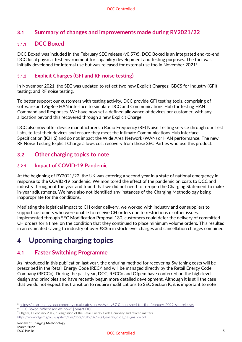## <span id="page-4-0"></span>**3.1 Summary of changes and improvements made during RY2021/22**

#### <span id="page-4-1"></span>**3.1.1 DCC Boxed**

DCC Boxed was included in the February SEC release (v0.57)5. DCC Boxed is an integrated end-to-end DCC local physical test environment for capability development and testing purposes. The tool was initially developed for internal use but was released for external use too in November 2021 $^6$ .

#### <span id="page-4-2"></span>**3.1.2 Explicit Charges (GFI and RF noise testing)**

In November 2021, the SEC was updated to reflect two new Explicit Charges: GBCS for Industry (GFI) testing; and RF noise testing.

To better support our customers with testing activity, DCC provide GFI testing tools, comprising of software and ZigBee HAN interface to simulate DCC and Communications Hub for testing HAN Command and Responses. We have now set a defined allowance of devices per customer, with any allocation beyond this recovered through a new Explicit Charge.

DCC also now offer device manufacturers a Radio Frequency (RF) Noise Testing service through our Test Labs, to test their devices and ensure they meet the Intimate Communications Hub Interface Specification (ICHIS) and do not impact the Wide Area Network (WAN) or HAN performance. The new RF Noise Testing Explicit Charge allows cost recovery from those SEC Parties who use this product.

#### <span id="page-4-3"></span>**3.2 Other charging topics to note**

#### <span id="page-4-4"></span>**3.2.1 Impact of COVID-19 Pandemic**

At the beginning of RY2021/22, the UK was entering a second year in a state of national emergency in response to the COVID-19 pandemic. We monitored the effect of the pandemic on costs to DCC and industry throughout the year and found that we did not need to re-open the Charging Statement to make in-year adjustments. We have also not identified any instances of the Charging Methodology being inappropriate for the conditions.

Mediating the logistical impact to CH order delivery, we worked with industry and our suppliers to support customers who were unable to receive CH orders due to restrictions or other issues. Implemented through SEC Modification Proposal 130, customers could defer the delivery of committed CH orders for a time, on the condition that they continued to place minimum volume orders. This resulted in an estimated saving to industry of over £33m in stock level charges and cancellation charges combined.

# <span id="page-4-5"></span>**4 Upcoming charging topics**

### <span id="page-4-6"></span>**4.1 Faster Switching Programme**

As introduced in this publication last year, the enduring method for recovering Switching costs will be prescribed in the Retail Energy Code (REC)<sup>7</sup> and will be managed directly by the Retail Energy Code Company (RECCo). During the past year, DCC, RECCo and Ofgem have conferred on the high-level design and principles and have recently begun more detailed development. Although it is still the case that we do not expect this transition to require modifications to SEC Section K, it is important to note

<sup>5</sup> <https://smartenergycodecompany.co.uk/latest-news/sec-v57-0-published-for-the-february-2022-sec-release/>

<sup>6</sup> [DCC Boxed. Where are we now? | Smart DCC](https://www.smartdcc.co.uk/news-events/dcc-boxed-where-are-we-now/)

<sup>&</sup>lt;sup>7</sup> Ofgem, 1 February 2019, 'Designation of the Retail Energy Code Company and related matters':

[https://www.ofgem.gov.uk/system/files/docs/2019/02/retail\\_energy\\_code\\_designation.pdf](https://www.ofgem.gov.uk/system/files/docs/2019/02/retail_energy_code_designation.pdf)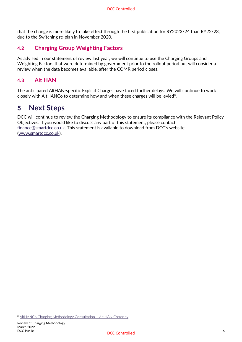that the change is more likely to take effect through the first publication for RY2023/24 than RY22/23, due to the Switching re-plan in November 2020.

## <span id="page-5-0"></span>**4.2 Charging Group Weighting Factors**

As advised in our statement of review last year, we will continue to use the Charging Groups and Weighting Factors that were determined by government prior to the rollout period but will consider a review when the data becomes available, after the COMR period closes.

## <span id="page-5-1"></span>**4.3 Alt HAN**

The anticipated AltHAN-specific Explicit Charges have faced further delays. We will continue to work closely with AltHANCo to determine how and when these charges will be levied $8$ .

## <span id="page-5-2"></span>**5 Next Steps**

DCC will continue to review the Charging Methodology to ensure its compliance with the Relevant Policy Objectives. If you would like to discuss any part of this statement, please contact [finance@smartdcc.co.uk.](mailto:finance@smartdcc.co.uk) This statement is available to download from DCC's website [\(www.smartdcc.co.uk\)](http://www.smartdcc.co.uk/).

<sup>8</sup> [AltHANCo Charging Methodology Consultation](https://althanco.com/news-posts/althanco-charging-methodology-consultation/) – Alt HAN Company